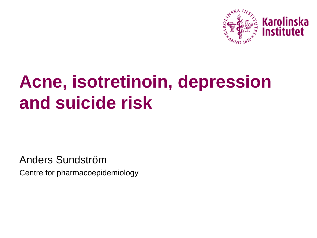

# **Acne, isotretinoin, depression and suicide risk**

Anders Sundström Centre for pharmacoepidemiology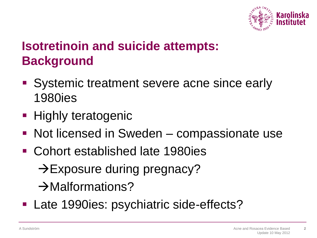

# **Isotretinoin and suicide attempts: Background**

- Systemic treatment severe acne since early 1980ies
- **Highly teratogenic**
- Not licensed in Sweden compassionate use
- Cohort established late 1980ies

 $\rightarrow$  Exposure during pregnacy?

 $\rightarrow$ Malformations?

**Late 1990ies: psychiatric side-effects?**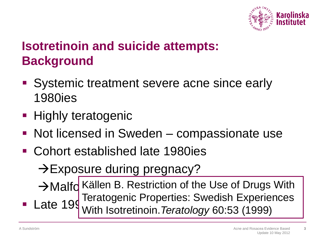

# **Isotretinoin and suicide attempts: Background**

- Systemic treatment severe acne since early 1980ies
- Highly teratogenic
- Not licensed in Sweden compassionate use
- Cohort established late 1980ies

 $\rightarrow$  Exposure during pregnacy?

 $\rightarrow$  Malfo Källen B. Restriction of the Use of Drugs With Late 199 Mith Isotratinoin Taratology 60:53 Teratogenic Properties: Swedish Experiences With Isotretinoin.*Teratology* 60:53 (1999)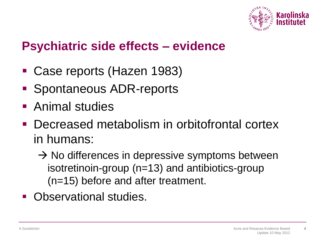

### **Psychiatric side effects – evidence**

- Case reports (Hazen 1983)
- Spontaneous ADR-reports
- Animal studies
- Decreased metabolism in orbitofrontal cortex in humans:
	- $\rightarrow$  No differences in depressive symptoms between isotretinoin-group (n=13) and antibiotics-group (n=15) before and after treatment.
- Observational studies.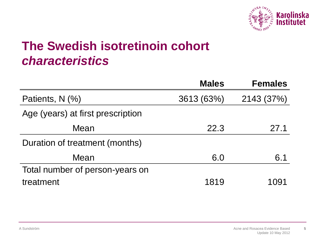

### **The Swedish isotretinoin cohort** *characteristics*

|                                   | <b>Males</b> | <b>Females</b> |
|-----------------------------------|--------------|----------------|
| Patients, N (%)                   | 3613 (63%)   | 2143 (37%)     |
| Age (years) at first prescription |              |                |
| Mean                              | 22.3         | 27.1           |
| Duration of treatment (months)    |              |                |
| Mean                              | 6.0          | 6.1            |
| Total number of person-years on   |              |                |
| treatment                         | 1819         | 1091           |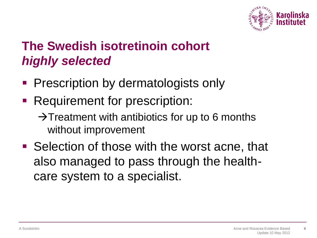

# **The Swedish isotretinoin cohort** *highly selected*

- Prescription by dermatologists only
- Requirement for prescription:
	- $\rightarrow$ Treatment with antibiotics for up to 6 months without improvement
- Selection of those with the worst acne, that also managed to pass through the healthcare system to a specialist.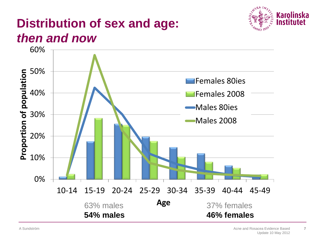

### **Distribution of sex and age:**  *then and now*

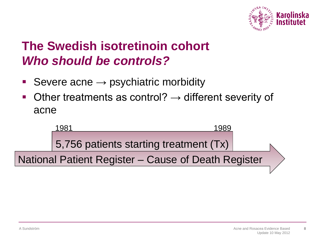

### **The Swedish isotretinoin cohort** *Who should be controls?*

- Severe acne → psychiatric morbidity
- Other treatments as control?  $\rightarrow$  different severity of acne

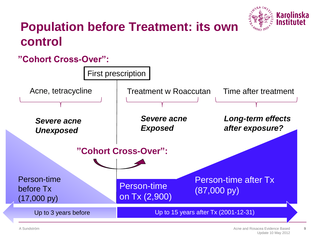

### **Population before Treatment: its own control**

### **"Cohort Cross-Over":**

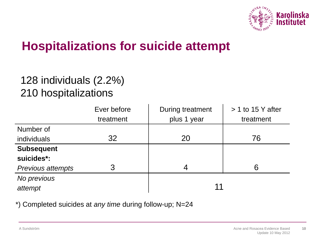

### **Hospitalizations for suicide attempt**

### 128 individuals (2.2%) 210 hospitalizations

|                          | Ever before | During treatment | $> 1$ to 15 Y after |  |  |  |  |
|--------------------------|-------------|------------------|---------------------|--|--|--|--|
|                          | treatment   | plus 1 year      | treatment           |  |  |  |  |
| Number of                |             |                  |                     |  |  |  |  |
| individuals              | 32          | 20               | 76                  |  |  |  |  |
| <b>Subsequent</b>        |             |                  |                     |  |  |  |  |
| suicides*:               |             |                  |                     |  |  |  |  |
| <b>Previous attempts</b> | 3           | 4                | 6                   |  |  |  |  |
| No previous              |             |                  |                     |  |  |  |  |
| attempt                  |             | 11               |                     |  |  |  |  |

\*) Completed suicides at *any time* during follow-up; N=24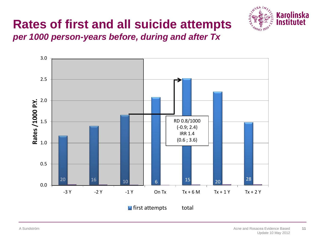# **Rates of first and all suicide attempts**



*per 1000 person-years before, during and after Tx*

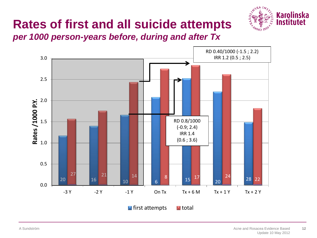# **Rates of first and all suicide attempts**



*per 1000 person-years before, during and after Tx*

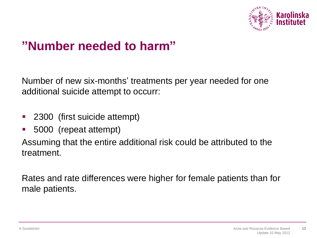

### **"Number needed to harm"**

Number of new six-months' treatments per year needed for one additional suicide attempt to occurr:

- **2300** (first suicide attempt)
- 5000 (repeat attempt)

Assuming that the entire additional risk could be attributed to the treatment.

Rates and rate differences were higher for female patients than for male patients.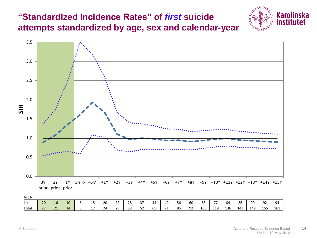### **"Standardized Incidence Rates" of** *first* **suicide attempts standardized by age, sex and calendar-year**





| ALL IV |                  |          |          |  |                               |          |              |          |                        |                           |    |              |    |     |             |     |     |     |           |                     |
|--------|------------------|----------|----------|--|-------------------------------|----------|--------------|----------|------------------------|---------------------------|----|--------------|----|-----|-------------|-----|-----|-----|-----------|---------------------|
| LLSL   | 20               | 16<br>ᅩ  | 10       |  | ᅩ                             | ാറ<br>∠∪ | $\sim$<br>__ | ີດ<br>20 | $\sim$ $-$<br><u>.</u> | 44                        | 49 | $\sim$<br>56 | 60 | 68  | --          | 84  | 86  | 90  | 92        | $\sim$<br>qΔ        |
| Total  | 77<br>$\epsilon$ | 21<br>-- | 14<br>-- |  | $\overline{a}$ $\overline{a}$ | -        | ിറ<br>--     | 38<br>◡  | $-2$<br>ےر             | $\sim$ $\sim$<br>--<br>ບບ |    | OE<br>ັ      | 92 | 106 | 119<br>---- | 136 | 143 | 149 | 155<br>∸~ | $\sim$<br>. .<br>∸~ |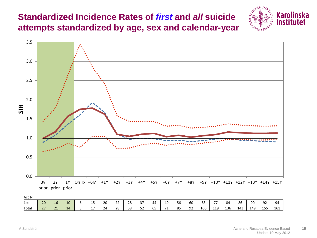### **Standardized Incidence Rates of** *first* **and** *all* **suicide attempts standardized by age, sex and calendar-year**





| ALL IV |                       |                    |    |  |                               |         |              |          |                        |                     |      |            |    |     |                  |     |     |     |           |                           |
|--------|-----------------------|--------------------|----|--|-------------------------------|---------|--------------|----------|------------------------|---------------------|------|------------|----|-----|------------------|-----|-----|-----|-----------|---------------------------|
| 1727   | 20                    | 1C<br>ᅩ            | 10 |  | ᅩ                             | ാറ<br>∼ | $\sim$<br>__ | າດ<br>40 | $\sim$ $-$<br><u>.</u> | 44                  | 49   | $ -$<br>56 | 60 | 68  | $- -$            | 84  | 86  | 90  | 92        | $\sim$<br>ЧΔ              |
| Гоtal  | 77<br>$\sim$ $\prime$ | $\mathbf{A}$<br>-- | ıд |  | $\overline{a}$ $\overline{a}$ |         | ിറ<br>--     | 38<br>◡  | $ \sim$<br>ےر          | $\sim$ $\sim$<br>ບບ | $-1$ | OC<br>ັ    | 92 | 106 | 119<br><b>++</b> | 136 | 143 | 149 | 155<br>∸~ | $\sim$<br><b>1</b><br>ᅩ◡ᅩ |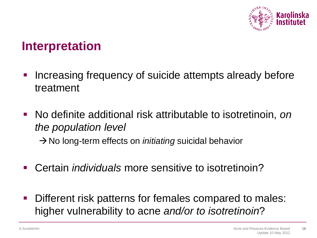

### **Interpretation**

- **Increasing frequency of suicide attempts already before** treatment
- No definite additional risk attributable to isotretinoin, *on the population level* → No long-term effects on *initiating* suicidal behavior
- Certain *individuals* more sensitive to isotretinoin?
- Different risk patterns for females compared to males: higher vulnerability to acne *and/or to isotretinoin*?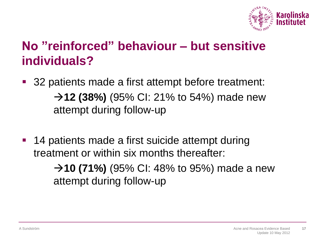

### **No "reinforced" behaviour – but sensitive individuals?**

- 32 patients made a first attempt before treatment: → **12 (38%)** (95% CI: 21% to 54%) made new attempt during follow-up
- **14 patients made a first suicide attempt during** treatment or within six months thereafter:

→ **10 (71%)** (95% CI: 48% to 95%) made a new attempt during follow-up